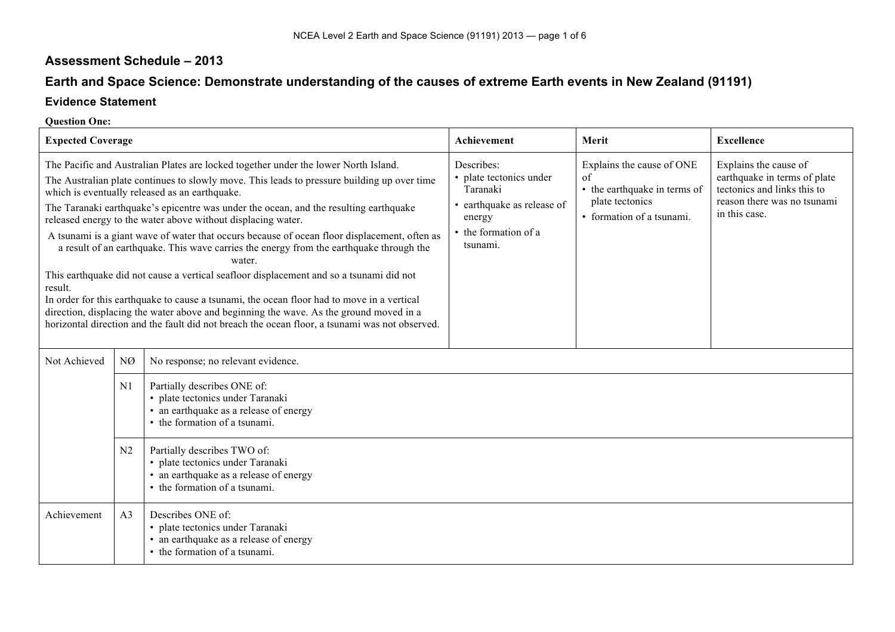## **Assessment Schedule – 2013**

# **Earth and Space Science: Demonstrate understanding of the causes of extreme Earth events in New Zealand (91191)**

### **Evidence Statement**

#### **Question One:**

| <b>Expected Coverage</b>                                                                                                                                                                                                                                                                                                                                                                                                                                                                                                                                                                                                                                                                                                                                                                                                                                                                                                                                                                           |                |                                                                                                                                            | Achievement                                                                                                                   | Merit                                                                                                           | <b>Excellence</b>                                                                                                                    |
|----------------------------------------------------------------------------------------------------------------------------------------------------------------------------------------------------------------------------------------------------------------------------------------------------------------------------------------------------------------------------------------------------------------------------------------------------------------------------------------------------------------------------------------------------------------------------------------------------------------------------------------------------------------------------------------------------------------------------------------------------------------------------------------------------------------------------------------------------------------------------------------------------------------------------------------------------------------------------------------------------|----------------|--------------------------------------------------------------------------------------------------------------------------------------------|-------------------------------------------------------------------------------------------------------------------------------|-----------------------------------------------------------------------------------------------------------------|--------------------------------------------------------------------------------------------------------------------------------------|
| The Pacific and Australian Plates are locked together under the lower North Island.<br>The Australian plate continues to slowly move. This leads to pressure building up over time<br>which is eventually released as an earthquake.<br>The Taranaki earthquake's epicentre was under the ocean, and the resulting earthquake<br>released energy to the water above without displacing water.<br>A tsunami is a giant wave of water that occurs because of ocean floor displacement, often as<br>a result of an earthquake. This wave carries the energy from the earthquake through the<br>water.<br>This earthquake did not cause a vertical seafloor displacement and so a tsunami did not<br>result.<br>In order for this earthquake to cause a tsunami, the ocean floor had to move in a vertical<br>direction, displacing the water above and beginning the wave. As the ground moved in a<br>horizontal direction and the fault did not breach the ocean floor, a tsunami was not observed. |                |                                                                                                                                            | Describes:<br>• plate tectonics under<br>Taranaki<br>• earthquake as release of<br>energy<br>• the formation of a<br>tsunami. | Explains the cause of ONE<br>of<br>• the earthquake in terms of<br>plate tectonics<br>• formation of a tsunami. | Explains the cause of<br>earthquake in terms of plate<br>tectonics and links this to<br>reason there was no tsunami<br>in this case. |
| Not Achieved                                                                                                                                                                                                                                                                                                                                                                                                                                                                                                                                                                                                                                                                                                                                                                                                                                                                                                                                                                                       | NØ             | No response; no relevant evidence.                                                                                                         |                                                                                                                               |                                                                                                                 |                                                                                                                                      |
|                                                                                                                                                                                                                                                                                                                                                                                                                                                                                                                                                                                                                                                                                                                                                                                                                                                                                                                                                                                                    | N1             | Partially describes ONE of:<br>· plate tectonics under Taranaki<br>• an earthquake as a release of energy<br>• the formation of a tsunami. |                                                                                                                               |                                                                                                                 |                                                                                                                                      |
|                                                                                                                                                                                                                                                                                                                                                                                                                                                                                                                                                                                                                                                                                                                                                                                                                                                                                                                                                                                                    | N2             | Partially describes TWO of:<br>· plate tectonics under Taranaki<br>• an earthquake as a release of energy<br>• the formation of a tsunami. |                                                                                                                               |                                                                                                                 |                                                                                                                                      |
| Achievement                                                                                                                                                                                                                                                                                                                                                                                                                                                                                                                                                                                                                                                                                                                                                                                                                                                                                                                                                                                        | A <sub>3</sub> | Describes ONE of:<br>· plate tectonics under Taranaki<br>• an earthquake as a release of energy<br>• the formation of a tsunami.           |                                                                                                                               |                                                                                                                 |                                                                                                                                      |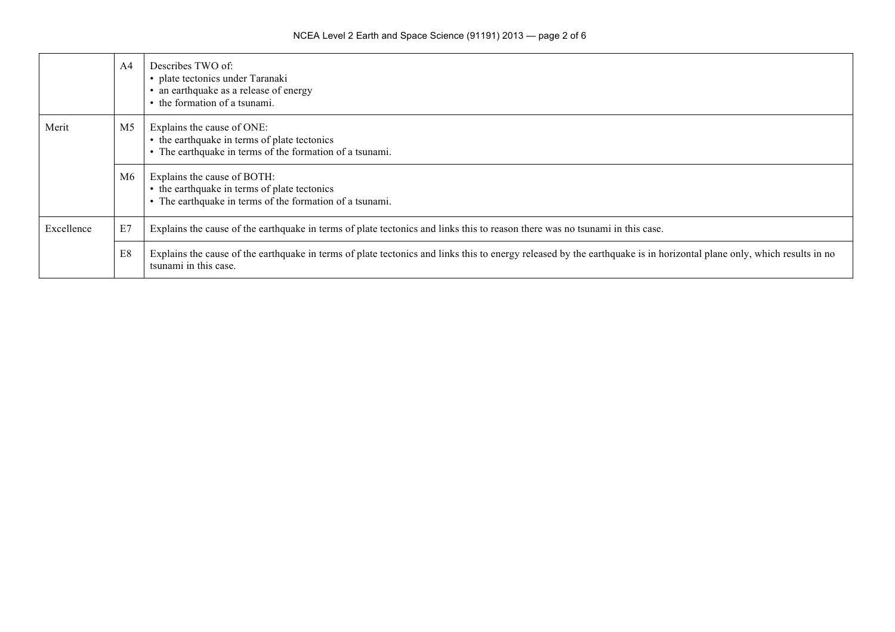|            | A <sub>4</sub> | Describes TWO of:<br>· plate tectonics under Taranaki<br>• an earthquake as a release of energy<br>• the formation of a tsunami.                                                               |
|------------|----------------|------------------------------------------------------------------------------------------------------------------------------------------------------------------------------------------------|
| Merit      | M <sub>5</sub> | Explains the cause of ONE:<br>• the earthquake in terms of plate tectonics<br>• The earthquake in terms of the formation of a tsunami.                                                         |
|            | M6             | Explains the cause of BOTH:<br>• the earthquake in terms of plate tectonics<br>• The earthquake in terms of the formation of a tsunami.                                                        |
| Excellence | E7             | Explains the cause of the earthquake in terms of plate tectonics and links this to reason there was no tsunami in this case.                                                                   |
|            | E8             | Explains the cause of the earthquake in terms of plate tectonics and links this to energy released by the earthquake is in horizontal plane only, which results in no<br>tsunami in this case. |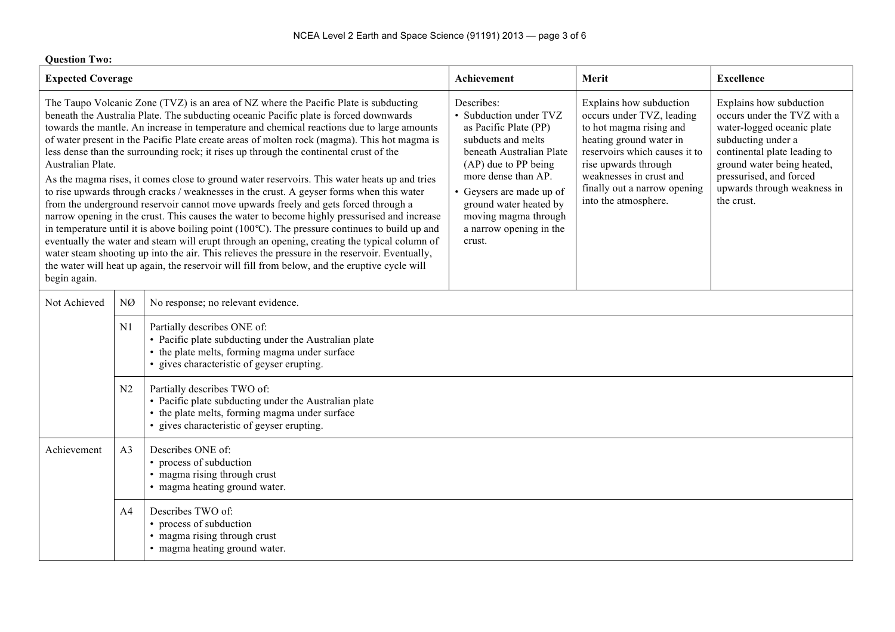| <b>Question Two:</b>                                                                                                                                                                                                                                                                                                                                                                                                                                                                                                                                                                                                                                                                                                                                                                                                                                                                                                                                                                                                                                                                                                                                                                                                                                                                                         |                |                                                                                                                                                                                                                                                                                   |                                                                                                                                                                                                                                                        |                                                                                                                                                                                                                                                  |                   |  |  |
|--------------------------------------------------------------------------------------------------------------------------------------------------------------------------------------------------------------------------------------------------------------------------------------------------------------------------------------------------------------------------------------------------------------------------------------------------------------------------------------------------------------------------------------------------------------------------------------------------------------------------------------------------------------------------------------------------------------------------------------------------------------------------------------------------------------------------------------------------------------------------------------------------------------------------------------------------------------------------------------------------------------------------------------------------------------------------------------------------------------------------------------------------------------------------------------------------------------------------------------------------------------------------------------------------------------|----------------|-----------------------------------------------------------------------------------------------------------------------------------------------------------------------------------------------------------------------------------------------------------------------------------|--------------------------------------------------------------------------------------------------------------------------------------------------------------------------------------------------------------------------------------------------------|--------------------------------------------------------------------------------------------------------------------------------------------------------------------------------------------------------------------------------------------------|-------------------|--|--|
| <b>Expected Coverage</b>                                                                                                                                                                                                                                                                                                                                                                                                                                                                                                                                                                                                                                                                                                                                                                                                                                                                                                                                                                                                                                                                                                                                                                                                                                                                                     |                |                                                                                                                                                                                                                                                                                   | Achievement                                                                                                                                                                                                                                            | Merit                                                                                                                                                                                                                                            | <b>Excellence</b> |  |  |
| The Taupo Volcanic Zone (TVZ) is an area of NZ where the Pacific Plate is subducting<br>beneath the Australia Plate. The subducting oceanic Pacific plate is forced downwards<br>towards the mantle. An increase in temperature and chemical reactions due to large amounts<br>of water present in the Pacific Plate create areas of molten rock (magma). This hot magma is<br>less dense than the surrounding rock; it rises up through the continental crust of the<br>Australian Plate.<br>As the magma rises, it comes close to ground water reservoirs. This water heats up and tries<br>to rise upwards through cracks / weaknesses in the crust. A geyser forms when this water<br>from the underground reservoir cannot move upwards freely and gets forced through a<br>narrow opening in the crust. This causes the water to become highly pressurised and increase<br>in temperature until it is above boiling point $(100^{\circ}C)$ . The pressure continues to build up and<br>eventually the water and steam will erupt through an opening, creating the typical column of<br>water steam shooting up into the air. This relieves the pressure in the reservoir. Eventually,<br>the water will heat up again, the reservoir will fill from below, and the eruptive cycle will<br>begin again. |                | Describes:<br>• Subduction under TVZ<br>as Pacific Plate (PP)<br>subducts and melts<br>beneath Australian Plate<br>(AP) due to PP being<br>more dense than AP.<br>• Geysers are made up of<br>ground water heated by<br>moving magma through<br>a narrow opening in the<br>crust. | Explains how subduction<br>occurs under TVZ, leading<br>to hot magma rising and<br>heating ground water in<br>reservoirs which causes it to<br>rise upwards through<br>weaknesses in crust and<br>finally out a narrow opening<br>into the atmosphere. | Explains how subduction<br>occurs under the TVZ with a<br>water-logged oceanic plate<br>subducting under a<br>continental plate leading to<br>ground water being heated,<br>pressurised, and forced<br>upwards through weakness in<br>the crust. |                   |  |  |
| Not Achieved                                                                                                                                                                                                                                                                                                                                                                                                                                                                                                                                                                                                                                                                                                                                                                                                                                                                                                                                                                                                                                                                                                                                                                                                                                                                                                 | NØ             | No response; no relevant evidence.                                                                                                                                                                                                                                                |                                                                                                                                                                                                                                                        |                                                                                                                                                                                                                                                  |                   |  |  |
|                                                                                                                                                                                                                                                                                                                                                                                                                                                                                                                                                                                                                                                                                                                                                                                                                                                                                                                                                                                                                                                                                                                                                                                                                                                                                                              | N1             | Partially describes ONE of:<br>• Pacific plate subducting under the Australian plate<br>• the plate melts, forming magma under surface<br>• gives characteristic of geyser erupting.                                                                                              |                                                                                                                                                                                                                                                        |                                                                                                                                                                                                                                                  |                   |  |  |
|                                                                                                                                                                                                                                                                                                                                                                                                                                                                                                                                                                                                                                                                                                                                                                                                                                                                                                                                                                                                                                                                                                                                                                                                                                                                                                              | N2             | Partially describes TWO of:<br>• Pacific plate subducting under the Australian plate<br>• the plate melts, forming magma under surface<br>• gives characteristic of geyser erupting.                                                                                              |                                                                                                                                                                                                                                                        |                                                                                                                                                                                                                                                  |                   |  |  |
| Achievement                                                                                                                                                                                                                                                                                                                                                                                                                                                                                                                                                                                                                                                                                                                                                                                                                                                                                                                                                                                                                                                                                                                                                                                                                                                                                                  | A <sub>3</sub> | Describes ONE of:<br>• process of subduction<br>• magma rising through crust<br>• magma heating ground water.                                                                                                                                                                     |                                                                                                                                                                                                                                                        |                                                                                                                                                                                                                                                  |                   |  |  |
|                                                                                                                                                                                                                                                                                                                                                                                                                                                                                                                                                                                                                                                                                                                                                                                                                                                                                                                                                                                                                                                                                                                                                                                                                                                                                                              | A <sub>4</sub> | Describes TWO of:<br>• process of subduction<br>• magma rising through crust<br>• magma heating ground water.                                                                                                                                                                     |                                                                                                                                                                                                                                                        |                                                                                                                                                                                                                                                  |                   |  |  |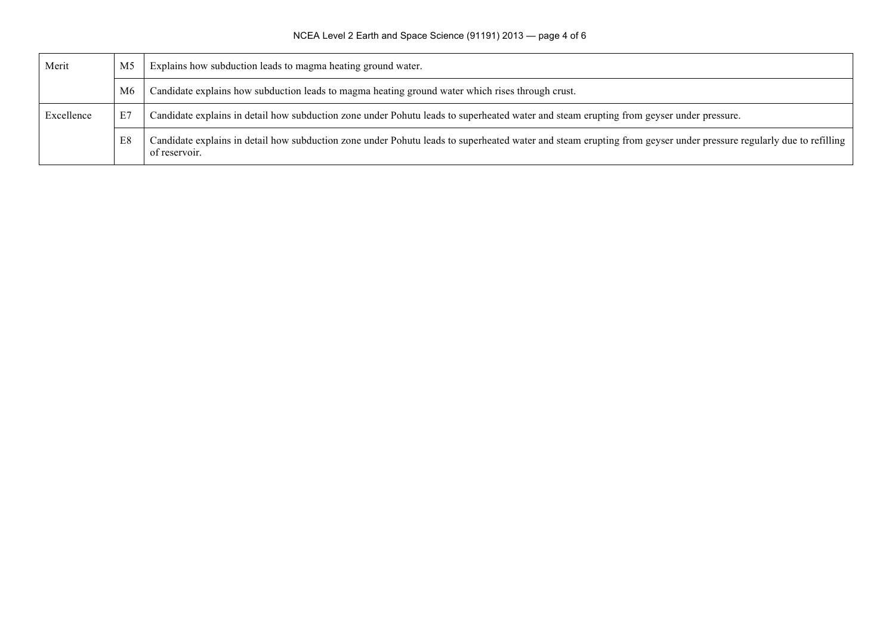| Merit      | M <sub>5</sub> | Explains how subduction leads to magma heating ground water.                                                                                                                       |  |  |
|------------|----------------|------------------------------------------------------------------------------------------------------------------------------------------------------------------------------------|--|--|
|            | M6             | Candidate explains how subduction leads to magma heating ground water which rises through crust.                                                                                   |  |  |
| Excellence | E7             | Candidate explains in detail how subduction zone under Pohutu leads to superheated water and steam erupting from geyser under pressure.                                            |  |  |
|            | E8             | Candidate explains in detail how subduction zone under Pohutu leads to superheated water and steam erupting from geyser under pressure regularly due to refilling<br>of reservoir. |  |  |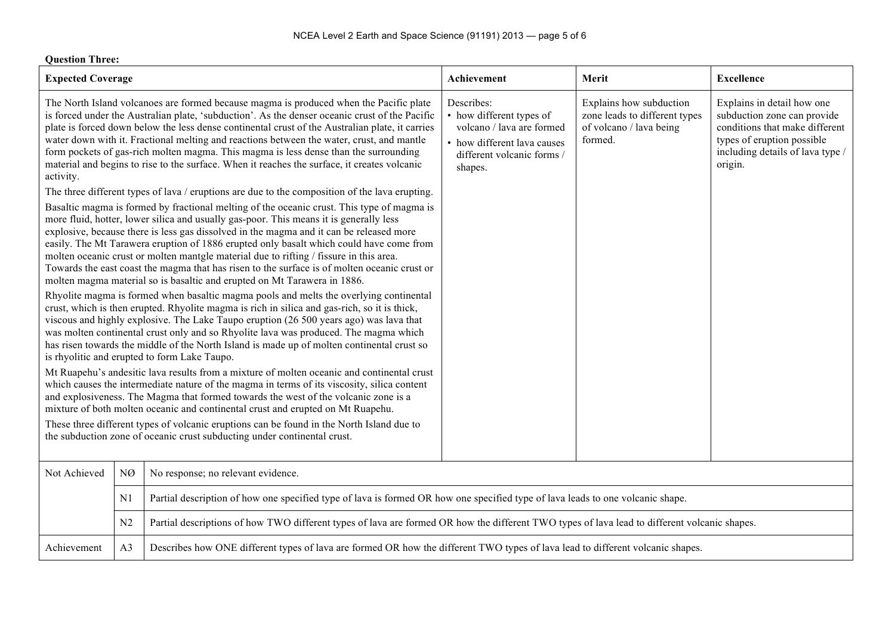| <b>Question Three:</b>                                                                                                                                                                                                                                                                                                                                                                                                                                                                                                                                                                                                                                                                          |                                                                          |                                                                                                                                                                                                                                                                                                                                                                                                                                                                                                                                                                                                                                                  |                                                                                                                                             |                                                                                                |                                                                                                                                                                          |  |
|-------------------------------------------------------------------------------------------------------------------------------------------------------------------------------------------------------------------------------------------------------------------------------------------------------------------------------------------------------------------------------------------------------------------------------------------------------------------------------------------------------------------------------------------------------------------------------------------------------------------------------------------------------------------------------------------------|--------------------------------------------------------------------------|--------------------------------------------------------------------------------------------------------------------------------------------------------------------------------------------------------------------------------------------------------------------------------------------------------------------------------------------------------------------------------------------------------------------------------------------------------------------------------------------------------------------------------------------------------------------------------------------------------------------------------------------------|---------------------------------------------------------------------------------------------------------------------------------------------|------------------------------------------------------------------------------------------------|--------------------------------------------------------------------------------------------------------------------------------------------------------------------------|--|
| <b>Expected Coverage</b>                                                                                                                                                                                                                                                                                                                                                                                                                                                                                                                                                                                                                                                                        |                                                                          |                                                                                                                                                                                                                                                                                                                                                                                                                                                                                                                                                                                                                                                  | Achievement                                                                                                                                 | Merit                                                                                          | <b>Excellence</b>                                                                                                                                                        |  |
| The North Island volcanoes are formed because magma is produced when the Pacific plate<br>is forced under the Australian plate, 'subduction'. As the denser oceanic crust of the Pacific<br>plate is forced down below the less dense continental crust of the Australian plate, it carries<br>water down with it. Fractional melting and reactions between the water, crust, and mantle<br>form pockets of gas-rich molten magma. This magma is less dense than the surrounding<br>material and begins to rise to the surface. When it reaches the surface, it creates volcanic<br>activity.<br>The three different types of lava / eruptions are due to the composition of the lava erupting. |                                                                          |                                                                                                                                                                                                                                                                                                                                                                                                                                                                                                                                                                                                                                                  | Describes:<br>• how different types of<br>volcano / lava are formed<br>• how different lava causes<br>different volcanic forms /<br>shapes. | Explains how subduction<br>zone leads to different types<br>of volcano / lava being<br>formed. | Explains in detail how one<br>subduction zone can provide<br>conditions that make different<br>types of eruption possible<br>including details of lava type /<br>origin. |  |
|                                                                                                                                                                                                                                                                                                                                                                                                                                                                                                                                                                                                                                                                                                 |                                                                          | Basaltic magma is formed by fractional melting of the oceanic crust. This type of magma is<br>more fluid, hotter, lower silica and usually gas-poor. This means it is generally less<br>explosive, because there is less gas dissolved in the magma and it can be released more<br>easily. The Mt Tarawera eruption of 1886 erupted only basalt which could have come from<br>molten oceanic crust or molten mantgle material due to rifting / fissure in this area.<br>Towards the east coast the magma that has risen to the surface is of molten oceanic crust or<br>molten magma material so is basaltic and erupted on Mt Tarawera in 1886. |                                                                                                                                             |                                                                                                |                                                                                                                                                                          |  |
| Rhyolite magma is formed when basaltic magma pools and melts the overlying continental<br>crust, which is then erupted. Rhyolite magma is rich in silica and gas-rich, so it is thick,<br>viscous and highly explosive. The Lake Taupo eruption (26 500 years ago) was lava that<br>was molten continental crust only and so Rhyolite lava was produced. The magma which<br>has risen towards the middle of the North Island is made up of molten continental crust so<br>is rhyolitic and erupted to form Lake Taupo.                                                                                                                                                                          |                                                                          |                                                                                                                                                                                                                                                                                                                                                                                                                                                                                                                                                                                                                                                  |                                                                                                                                             |                                                                                                |                                                                                                                                                                          |  |
| Mt Ruapehu's andesitic lava results from a mixture of molten oceanic and continental crust<br>which causes the intermediate nature of the magma in terms of its viscosity, silica content<br>and explosiveness. The Magma that formed towards the west of the volcanic zone is a<br>mixture of both molten oceanic and continental crust and erupted on Mt Ruapehu.<br>These three different types of volcanic eruptions can be found in the North Island due to                                                                                                                                                                                                                                |                                                                          |                                                                                                                                                                                                                                                                                                                                                                                                                                                                                                                                                                                                                                                  |                                                                                                                                             |                                                                                                |                                                                                                                                                                          |  |
|                                                                                                                                                                                                                                                                                                                                                                                                                                                                                                                                                                                                                                                                                                 | the subduction zone of oceanic crust subducting under continental crust. |                                                                                                                                                                                                                                                                                                                                                                                                                                                                                                                                                                                                                                                  |                                                                                                                                             |                                                                                                |                                                                                                                                                                          |  |
| Not Achieved                                                                                                                                                                                                                                                                                                                                                                                                                                                                                                                                                                                                                                                                                    | NØ                                                                       | No response; no relevant evidence.                                                                                                                                                                                                                                                                                                                                                                                                                                                                                                                                                                                                               |                                                                                                                                             |                                                                                                |                                                                                                                                                                          |  |
|                                                                                                                                                                                                                                                                                                                                                                                                                                                                                                                                                                                                                                                                                                 | N1                                                                       | Partial description of how one specified type of lava is formed OR how one specified type of lava leads to one volcanic shape.                                                                                                                                                                                                                                                                                                                                                                                                                                                                                                                   |                                                                                                                                             |                                                                                                |                                                                                                                                                                          |  |
|                                                                                                                                                                                                                                                                                                                                                                                                                                                                                                                                                                                                                                                                                                 | N2                                                                       | Partial descriptions of how TWO different types of lava are formed OR how the different TWO types of lava lead to different volcanic shapes.                                                                                                                                                                                                                                                                                                                                                                                                                                                                                                     |                                                                                                                                             |                                                                                                |                                                                                                                                                                          |  |
| Achievement                                                                                                                                                                                                                                                                                                                                                                                                                                                                                                                                                                                                                                                                                     | A3                                                                       | Describes how ONE different types of lava are formed OR how the different TWO types of lava lead to different volcanic shapes.                                                                                                                                                                                                                                                                                                                                                                                                                                                                                                                   |                                                                                                                                             |                                                                                                |                                                                                                                                                                          |  |